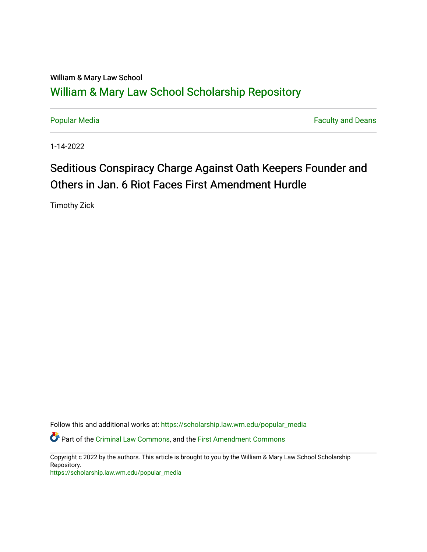## William & Mary Law School [William & Mary Law School Scholarship Repository](https://scholarship.law.wm.edu/)

[Popular Media](https://scholarship.law.wm.edu/popular_media) **Faculty and Deans Faculty and Deans** 

1-14-2022

# Seditious Conspiracy Charge Against Oath Keepers Founder and Others in Jan. 6 Riot Faces First Amendment Hurdle

Timothy Zick

Follow this and additional works at: [https://scholarship.law.wm.edu/popular\\_media](https://scholarship.law.wm.edu/popular_media?utm_source=scholarship.law.wm.edu%2Fpopular_media%2F565&utm_medium=PDF&utm_campaign=PDFCoverPages)

Part of the [Criminal Law Commons,](http://network.bepress.com/hgg/discipline/912?utm_source=scholarship.law.wm.edu%2Fpopular_media%2F565&utm_medium=PDF&utm_campaign=PDFCoverPages) and the [First Amendment Commons](http://network.bepress.com/hgg/discipline/1115?utm_source=scholarship.law.wm.edu%2Fpopular_media%2F565&utm_medium=PDF&utm_campaign=PDFCoverPages) 

Copyright c 2022 by the authors. This article is brought to you by the William & Mary Law School Scholarship Repository.

[https://scholarship.law.wm.edu/popular\\_media](https://scholarship.law.wm.edu/popular_media)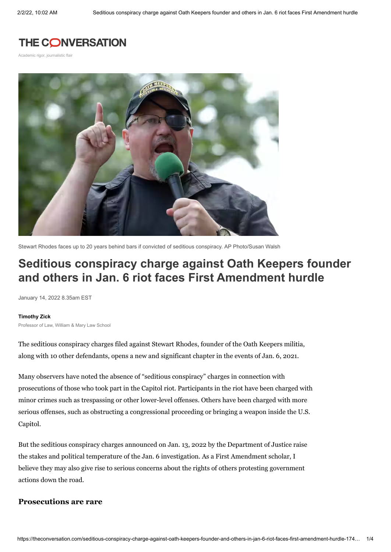## **THE CONVERSATION**

Academic rigor, journalistic flair



Stewart Rhodes faces up to 20 years behind bars if convicted of seditious conspiracy. [AP Photo/Susan Walsh](https://newsroom.ap.org/detail/CapitolRiotSedition/981d3aaf03ef42378ced4ea0c2b9252f/photo?Query=Stewart%20Rhodes&mediaType=photo&sortBy=arrivaldatetime:desc&dateRange=Anytime&totalCount=22¤tItemNo=1)

## **Seditious conspiracy charge against Oath Keepers founder and others in Jan. 6 riot faces First Amendment hurdle**

January 14, 2022 8.35am EST

#### **[Timothy](https://theconversation.com/profiles/timothy-zick-1306993) Zick**

Professor of Law, William & Mary Law School

The seditious [conspiracy](https://www.justice.gov/opa/pr/leader-oath-keepers-and-10-other-individuals-indicted-federal-court-seditious-conspiracy-and) charges filed against Stewart Rhodes, founder of the Oath Keepers militia, along with 10 other defendants, opens a new and significant chapter in the events of Jan. 6, 2021.

Many observers have noted the [absence](https://www.motherjones.com/politics/2022/01/january-6-sedition-charges-trump-white-supremacy-capitol/) of "seditious conspiracy" charges in connection with [prosecutions](https://www.politico.com/news/2022/01/04/jan-6-insurrection-sentencing-tracker-526091) of those who took part in the Capitol riot. Participants in the riot have been charged with minor crimes such as trespassing or other lower-level offenses. Others have been charged with more serious offenses, such as obstructing a [congressional](https://www.justice.gov/usao-dc/capitol-breach-cases) proceeding or bringing a weapon inside the U.S. Capitol.

But the seditious conspiracy charges announced on Jan. 13, 2022 by the [Department](https://www.justice.gov/opa/pr/leader-oath-keepers-and-10-other-individuals-indicted-federal-court-seditious-conspiracy-and) of Justice raise the stakes and political temperature of the Jan. 6 investigation. As a First [Amendment](https://scholar.google.com/citations?user=3xAnT2QAAAAJ&hl=en&oi=ao) scholar, I believe they may also give rise to serious concerns about the rights of others protesting government actions down the road.

### **Prosecutions are rare**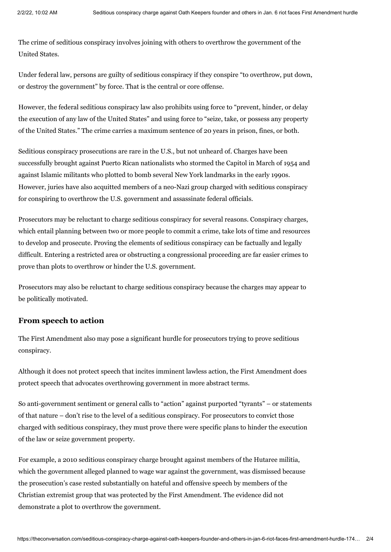The crime of seditious [conspiracy](https://www.washingtonpost.com/politics/2022/01/13/what-is-sedition/) involves joining with others to overthrow the government of the United States.

Under [federal](https://uscode.house.gov/view.xhtml?path=/prelim@title18/part1/chapter115&edition=prelim) law, persons are guilty of seditious conspiracy if they conspire "to overthrow, put down, or destroy the government" by force. That is the central or core offense.

However, the federal seditious [conspiracy](https://uscode.house.gov/view.xhtml?path=/prelim@title18/part1/chapter115&edition=prelim) law also prohibits using force to "prevent, hinder, or delay the execution of any law of the United States" and using force to "seize, take, or possess any property of the United States." The crime carries a maximum sentence of 20 years in prison, fines, or both.

Seditious conspiracy prosecutions are rare in the U.S., but not unheard of. Charges have been [successfully](https://apnews.com/article/riots-conspiracy-9d22bdd4e2d4d786531ebe0fb8095de4) brought against Puerto Rican [nationalists](https://www.lawfareblog.com/when-extremists-stormed-capitol-and-got-convicted-seditious-conspiracy) who stormed the Capitol in March of 1954 and against Islamic militants who plotted to bomb several New York landmarks in the early 1990s. However, juries have also acquitted members of a neo-Nazi group charged with seditious conspiracy for conspiring to overthrow the U.S. government and [assassinate](https://apnews.com/article/604c50e36bd020ac70be35445b12d059) federal officials.

Prosecutors may be reluctant to charge seditious conspiracy for several reasons. Conspiracy charges, which entail planning between two or more people to commit a crime, take lots of time and resources to develop and prosecute. Proving the elements of seditious conspiracy can be factually and legally difficult. Entering a restricted area or obstructing a congressional proceeding are far easier crimes to prove than plots to overthrow or hinder the U.S. government.

Prosecutors may also be reluctant to charge seditious conspiracy because the charges may appear to be politically motivated.

### **From speech to action**

The First [Amendment](https://constitutioncenter.org/interactive-constitution/amendment/amendment-i) also may pose a significant hurdle for prosecutors trying to prove seditious conspiracy.

Although it does not protect speech that incites imminent lawless action, the First Amendment does protect speech that advocates overthrowing government in more abstract terms.

So anti-government sentiment or general calls to "action" against purported "tyrants" – or statements of that nature – don't rise to the level of a seditious conspiracy. For prosecutors to convict those charged with seditious conspiracy, they must prove there were specific plans to hinder the execution of the law or seize government property.

For example, a 2010 seditious conspiracy charge brought against [members](https://apnews.com/article/riots-conspiracy-9d22bdd4e2d4d786531ebe0fb8095de4) of the Hutaree militia, which the government alleged planned to wage war against the government, was dismissed because the prosecution's case rested substantially on hateful and offensive speech by members of the Christian extremist group that was protected by the First Amendment. The evidence did not demonstrate a plot to overthrow the government.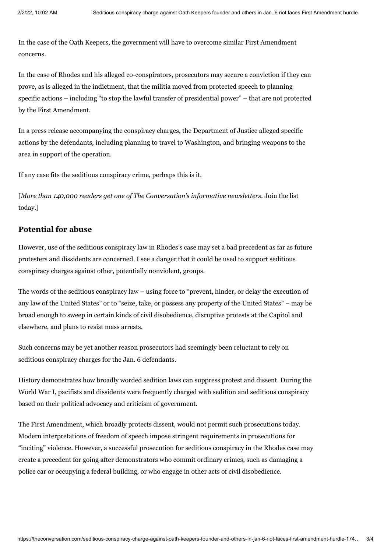In the case of the Oath Keepers, the government will have to overcome similar First Amendment concerns.

In the case of Rhodes and his alleged co-conspirators, prosecutors may secure a conviction if they can prove, as is alleged in the [indictment](https://www.justice.gov/usao-dc/press-release/file/1462346/download), that the militia moved from protected speech to planning specific actions – including "to stop the lawful transfer of presidential power" – that are not protected by the First Amendment.

In a press release [accompanying](https://www.justice.gov/opa/pr/leader-oath-keepers-and-10-other-individuals-indicted-federal-court-seditious-conspiracy-and) the conspiracy charges, the Department of Justice alleged specific actions by the defendants, including planning to travel to Washington, and bringing weapons to the area in support of the operation.

If any case fits the seditious conspiracy crime, perhaps this is it.

[*More than 140,000 readers get one of The [Conversation's](https://memberservices.theconversation.com/newsletters/?source=inline-140K) informative newsletters.* Join the list today.]

### **Potential for abuse**

However, use of the seditious conspiracy law in Rhodes's case may set a bad precedent as far as future protesters and dissidents are concerned. I see a danger that it could be used to support seditious conspiracy charges against other, potentially nonviolent, groups.

The words of the seditious conspiracy law – using force to "prevent, hinder, or delay the execution of any law of the United States" or to "seize, take, or possess any property of the United States" – may be broad enough to sweep in certain kinds of civil disobedience, disruptive protests at the Capitol and elsewhere, and plans to resist mass arrests.

Such concerns may be yet another reason prosecutors had seemingly been reluctant to rely on seditious conspiracy charges for the Jan. 6 defendants.

History demonstrates how broadly worded sedition laws can suppress protest and dissent. During the World War I, pacifists and dissidents were [frequently](https://www.history.com/news/sedition-espionage-acts-woodrow-wilson-wwi) charged with sedition and seditious conspiracy based on their political advocacy and criticism of government.

The First Amendment, which broadly protects dissent, would not permit such prosecutions today. Modern interpretations of freedom of speech impose stringent [requirements](https://www.law.cornell.edu/wex/brandenburg_test) in prosecutions for "inciting" violence. However, a successful prosecution for seditious conspiracy in the Rhodes case may create a precedent for going after demonstrators who commit ordinary crimes, such as damaging a police car or occupying a federal building, or who engage in other acts of civil disobedience.